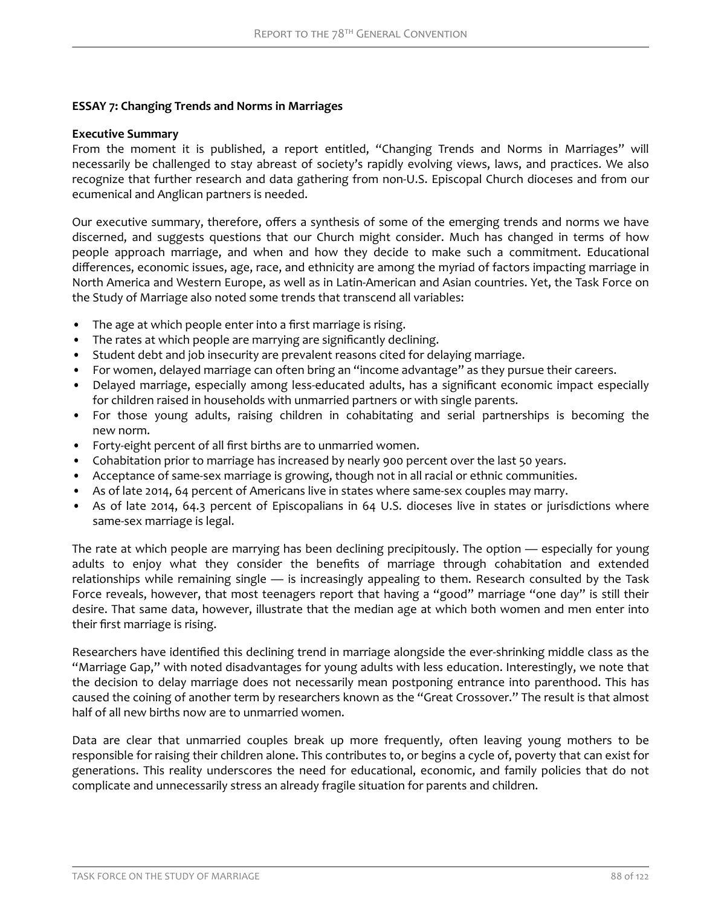# **ESSAY 7: Changing Trends and Norms in Marriages**

### **Executive Summary**

From the moment it is published, a report entitled, "Changing Trends and Norms in Marriages" will necessarily be challenged to stay abreast of society's rapidly evolving views, laws, and practices. We also recognize that further research and data gathering from non-U.S. Episcopal Church dioceses and from our ecumenical and Anglican partners is needed.

Our executive summary, therefore, offers a synthesis of some of the emerging trends and norms we have discerned, and suggests questions that our Church might consider. Much has changed in terms of how people approach marriage, and when and how they decide to make such a commitment. Educational differences, economic issues, age, race, and ethnicity are among the myriad of factors impacting marriage in North America and Western Europe, as well as in Latin-American and Asian countries. Yet, the Task Force on the Study of Marriage also noted some trends that transcend all variables:

- The age at which people enter into a first marriage is rising.
- The rates at which people are marrying are significantly declining.
- Student debt and job insecurity are prevalent reasons cited for delaying marriage.
- For women, delayed marriage can often bring an "income advantage" as they pursue their careers.
- Delayed marriage, especially among less-educated adults, has a significant economic impact especially for children raised in households with unmarried partners or with single parents.
- For those young adults, raising children in cohabitating and serial partnerships is becoming the new norm.
- Forty-eight percent of all first births are to unmarried women.
- Cohabitation prior to marriage has increased by nearly 900 percent over the last 50 years.
- Acceptance of same-sex marriage is growing, though not in all racial or ethnic communities.
- As of late 2014, 64 percent of Americans live in states where same-sex couples may marry.
- As of late 2014, 64.3 percent of Episcopalians in 64 U.S. dioceses live in states or jurisdictions where same-sex marriage is legal.

The rate at which people are marrying has been declining precipitously. The option — especially for young adults to enjoy what they consider the benefits of marriage through cohabitation and extended relationships while remaining single — is increasingly appealing to them. Research consulted by the Task Force reveals, however, that most teenagers report that having a "good" marriage "one day" is still their desire. That same data, however, illustrate that the median age at which both women and men enter into their first marriage is rising.

Researchers have identified this declining trend in marriage alongside the ever-shrinking middle class as the "Marriage Gap," with noted disadvantages for young adults with less education. Interestingly, we note that the decision to delay marriage does not necessarily mean postponing entrance into parenthood. This has caused the coining of another term by researchers known as the "Great Crossover." The result is that almost half of all new births now are to unmarried women.

Data are clear that unmarried couples break up more frequently, often leaving young mothers to be responsible for raising their children alone. This contributes to, or begins a cycle of, poverty that can exist for generations. This reality underscores the need for educational, economic, and family policies that do not complicate and unnecessarily stress an already fragile situation for parents and children.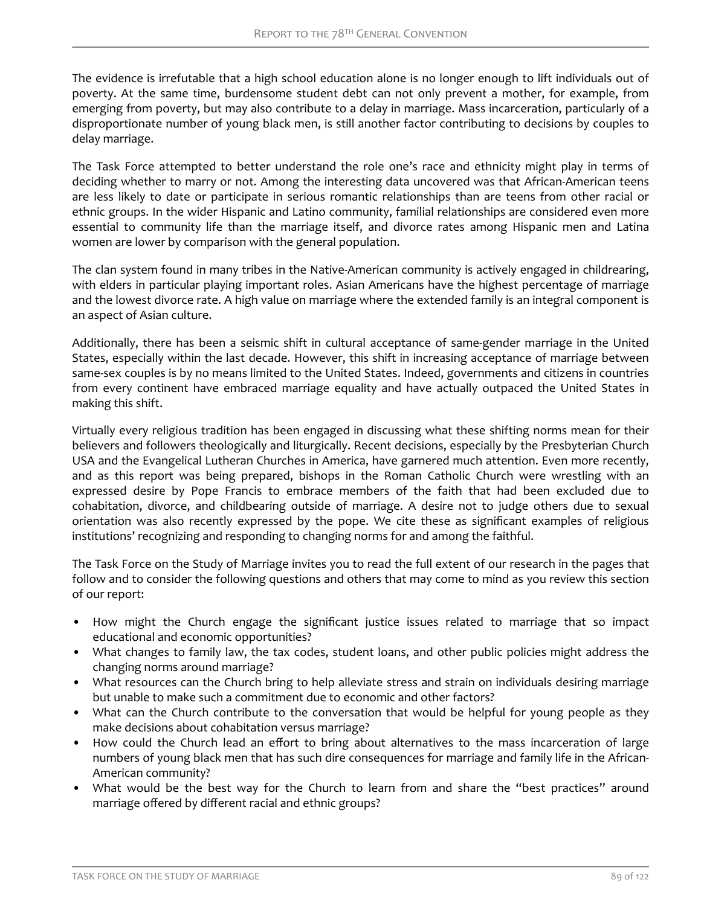The evidence is irrefutable that a high school education alone is no longer enough to lift individuals out of poverty. At the same time, burdensome student debt can not only prevent a mother, for example, from emerging from poverty, but may also contribute to a delay in marriage. Mass incarceration, particularly of a disproportionate number of young black men, is still another factor contributing to decisions by couples to delay marriage.

The Task Force attempted to better understand the role one's race and ethnicity might play in terms of deciding whether to marry or not. Among the interesting data uncovered was that African-American teens are less likely to date or participate in serious romantic relationships than are teens from other racial or ethnic groups. In the wider Hispanic and Latino community, familial relationships are considered even more essential to community life than the marriage itself, and divorce rates among Hispanic men and Latina women are lower by comparison with the general population.

The clan system found in many tribes in the Native-American community is actively engaged in childrearing, with elders in particular playing important roles. Asian Americans have the highest percentage of marriage and the lowest divorce rate. A high value on marriage where the extended family is an integral component is an aspect of Asian culture.

Additionally, there has been a seismic shift in cultural acceptance of same-gender marriage in the United States, especially within the last decade. However, this shift in increasing acceptance of marriage between same-sex couples is by no means limited to the United States. Indeed, governments and citizens in countries from every continent have embraced marriage equality and have actually outpaced the United States in making this shift.

Virtually every religious tradition has been engaged in discussing what these shifting norms mean for their believers and followers theologically and liturgically. Recent decisions, especially by the Presbyterian Church USA and the Evangelical Lutheran Churches in America, have garnered much attention. Even more recently, and as this report was being prepared, bishops in the Roman Catholic Church were wrestling with an expressed desire by Pope Francis to embrace members of the faith that had been excluded due to cohabitation, divorce, and childbearing outside of marriage. A desire not to judge others due to sexual orientation was also recently expressed by the pope. We cite these as significant examples of religious institutions' recognizing and responding to changing norms for and among the faithful.

The Task Force on the Study of Marriage invites you to read the full extent of our research in the pages that follow and to consider the following questions and others that may come to mind as you review this section of our report:

- How might the Church engage the significant justice issues related to marriage that so impact educational and economic opportunities?
- What changes to family law, the tax codes, student loans, and other public policies might address the changing norms around marriage?
- What resources can the Church bring to help alleviate stress and strain on individuals desiring marriage but unable to make such a commitment due to economic and other factors?
- What can the Church contribute to the conversation that would be helpful for young people as they make decisions about cohabitation versus marriage?
- How could the Church lead an effort to bring about alternatives to the mass incarceration of large numbers of young black men that has such dire consequences for marriage and family life in the African-American community?
- What would be the best way for the Church to learn from and share the "best practices" around marriage offered by different racial and ethnic groups?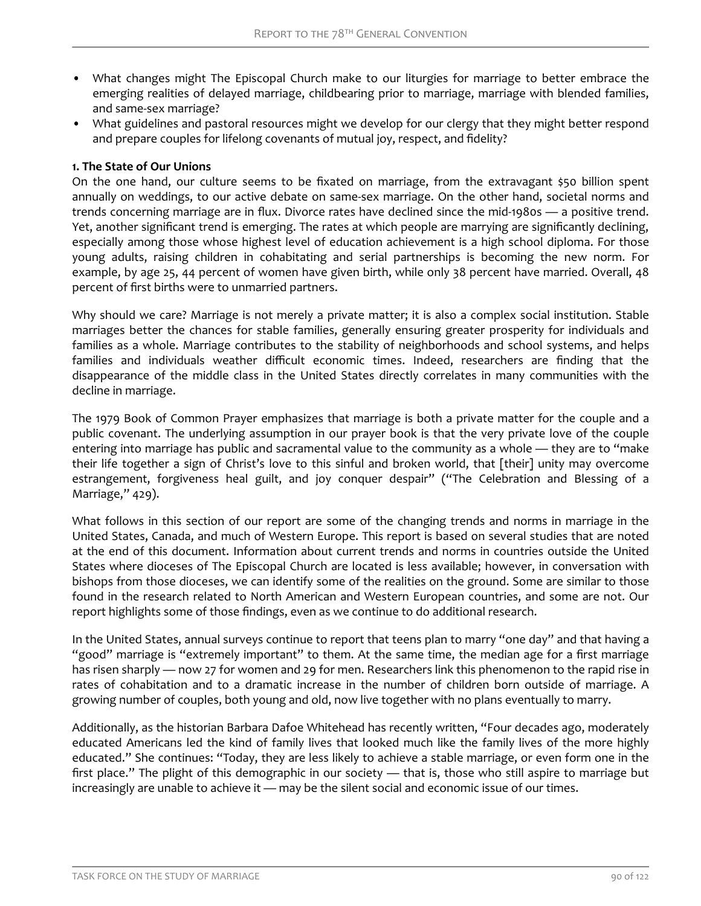- What changes might The Episcopal Church make to our liturgies for marriage to better embrace the emerging realities of delayed marriage, childbearing prior to marriage, marriage with blended families, and same-sex marriage?
- What guidelines and pastoral resources might we develop for our clergy that they might better respond and prepare couples for lifelong covenants of mutual joy, respect, and fidelity?

### **1. The State of Our Unions**

On the one hand, our culture seems to be fixated on marriage, from the extravagant \$50 billion spent annually on weddings, to our active debate on same-sex marriage. On the other hand, societal norms and trends concerning marriage are in flux. Divorce rates have declined since the mid-1980s — a positive trend. Yet, another significant trend is emerging. The rates at which people are marrying are significantly declining, especially among those whose highest level of education achievement is a high school diploma. For those young adults, raising children in cohabitating and serial partnerships is becoming the new norm. For example, by age 25, 44 percent of women have given birth, while only 38 percent have married. Overall, 48 percent of first births were to unmarried partners.

Why should we care? Marriage is not merely a private matter; it is also a complex social institution. Stable marriages better the chances for stable families, generally ensuring greater prosperity for individuals and families as a whole. Marriage contributes to the stability of neighborhoods and school systems, and helps families and individuals weather difficult economic times. Indeed, researchers are finding that the disappearance of the middle class in the United States directly correlates in many communities with the decline in marriage.

The 1979 Book of Common Prayer emphasizes that marriage is both a private matter for the couple and a public covenant. The underlying assumption in our prayer book is that the very private love of the couple entering into marriage has public and sacramental value to the community as a whole — they are to "make their life together a sign of Christ's love to this sinful and broken world, that [their] unity may overcome estrangement, forgiveness heal guilt, and joy conquer despair" ("The Celebration and Blessing of a Marriage," 429).

What follows in this section of our report are some of the changing trends and norms in marriage in the United States, Canada, and much of Western Europe. This report is based on several studies that are noted at the end of this document. Information about current trends and norms in countries outside the United States where dioceses of The Episcopal Church are located is less available; however, in conversation with bishops from those dioceses, we can identify some of the realities on the ground. Some are similar to those found in the research related to North American and Western European countries, and some are not. Our report highlights some of those findings, even as we continue to do additional research.

In the United States, annual surveys continue to report that teens plan to marry "one day" and that having a "good" marriage is "extremely important" to them. At the same time, the median age for a first marriage has risen sharply — now 27 for women and 29 for men. Researchers link this phenomenon to the rapid rise in rates of cohabitation and to a dramatic increase in the number of children born outside of marriage. A growing number of couples, both young and old, now live together with no plans eventually to marry.

Additionally, as the historian Barbara Dafoe Whitehead has recently written, "Four decades ago, moderately educated Americans led the kind of family lives that looked much like the family lives of the more highly educated." She continues: "Today, they are less likely to achieve a stable marriage, or even form one in the first place." The plight of this demographic in our society — that is, those who still aspire to marriage but increasingly are unable to achieve it — may be the silent social and economic issue of our times.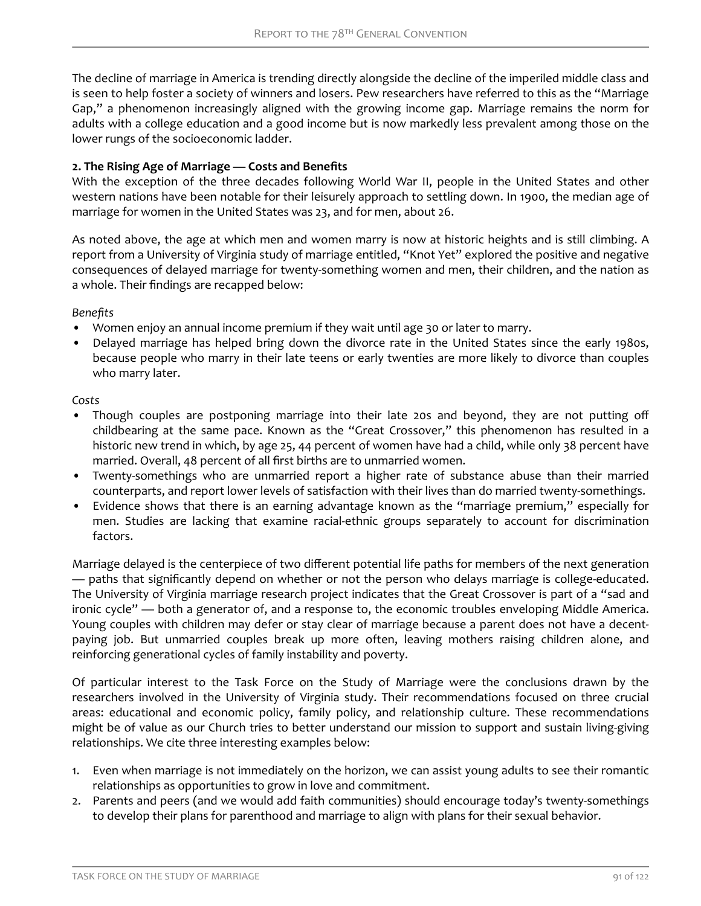The decline of marriage in America is trending directly alongside the decline of the imperiled middle class and is seen to help foster a society of winners and losers. Pew researchers have referred to this as the "Marriage Gap," a phenomenon increasingly aligned with the growing income gap. Marriage remains the norm for adults with a college education and a good income but is now markedly less prevalent among those on the lower rungs of the socioeconomic ladder.

# 2. The Rising Age of Marriage — Costs and Benefits

With the exception of the three decades following World War II, people in the United States and other western nations have been notable for their leisurely approach to settling down. In 1900, the median age of marriage for women in the United States was 23, and for men, about 26.

As noted above, the age at which men and women marry is now at historic heights and is still climbing. A report from a University of Virginia study of marriage entitled, "Knot Yet" explored the positive and negative consequences of delayed marriage for twenty-something women and men, their children, and the nation as a whole. Their findings are recapped below:

*enefits*

- Women enjoy an annual income premium if they wait until age 30 or later to marry.
- Delayed marriage has helped bring down the divorce rate in the United States since the early 1980s, because people who marry in their late teens or early twenties are more likely to divorce than couples who marry later.

# *Costs*

- Though couples are postponing marriage into their late 20s and beyond, they are not putting off childbearing at the same pace. Known as the "Great Crossover," this phenomenon has resulted in a historic new trend in which, by age 25, 44 percent of women have had a child, while only 38 percent have married. Overall, 48 percent of all first births are to unmarried women.
- Twenty-somethings who are unmarried report a higher rate of substance abuse than their married counterparts, and report lower levels of satisfaction with their lives than do married twenty-somethings.
- Evidence shows that there is an earning advantage known as the "marriage premium," especially for men. Studies are lacking that examine racial-ethnic groups separately to account for discrimination factors.

Marriage delayed is the centerpiece of two different potential life paths for members of the next generation — paths that significantly depend on whether or not the person who delays marriage is college-educated. The University of Virginia marriage research project indicates that the Great Crossover is part of a "sad and ironic cycle" — both a generator of, and a response to, the economic troubles enveloping Middle America. Young couples with children may defer or stay clear of marriage because a parent does not have a decentpaying job. But unmarried couples break up more often, leaving mothers raising children alone, and reinforcing generational cycles of family instability and poverty.

Of particular interest to the Task Force on the Study of Marriage were the conclusions drawn by the researchers involved in the University of Virginia study. Their recommendations focused on three crucial areas: educational and economic policy, family policy, and relationship culture. These recommendations might be of value as our Church tries to better understand our mission to support and sustain living-giving relationships. We cite three interesting examples below:

- 1. Even when marriage is not immediately on the horizon, we can assist young adults to see their romantic relationships as opportunities to grow in love and commitment.
- 2. Parents and peers (and we would add faith communities) should encourage today's twenty-somethings to develop their plans for parenthood and marriage to align with plans for their sexual behavior.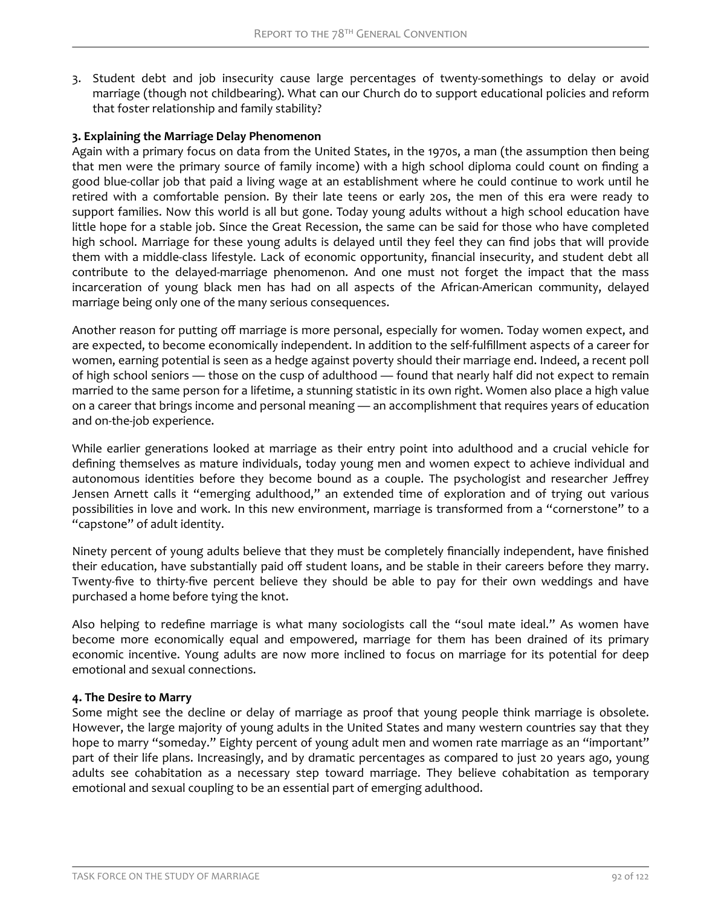3. Student debt and job insecurity cause large percentages of twenty-somethings to delay or avoid marriage (though not childbearing). What can our Church do to support educational policies and reform that foster relationship and family stability?

### **3. Explaining the Marriage Delay Phenomenon**

Again with a primary focus on data from the United States, in the 1970s, a man (the assumption then being that men were the primary source of family income) with a high school diploma could count on finding a good blue-collar job that paid a living wage at an establishment where he could continue to work until he retired with a comfortable pension. By their late teens or early 20s, the men of this era were ready to support families. Now this world is all but gone. Today young adults without a high school education have little hope for a stable job. Since the Great Recession, the same can be said for those who have completed high school. Marriage for these young adults is delayed until they feel they can find jobs that will provide them with a middle-class lifestyle. Lack of economic opportunity, financial insecurity, and student debt all contribute to the delayed-marriage phenomenon. And one must not forget the impact that the mass incarceration of young black men has had on all aspects of the African-American community, delayed marriage being only one of the many serious consequences.

Another reason for putting off marriage is more personal, especially for women. Today women expect, and are expected, to become economically independent. In addition to the self-fulfillment aspects of a career for women, earning potential is seen as a hedge against poverty should their marriage end. Indeed, a recent poll of high school seniors — those on the cusp of adulthood — found that nearly half did not expect to remain married to the same person for a lifetime, a stunning statistic in its own right. Women also place a high value on a career that brings income and personal meaning — an accomplishment that requires years of education and on-the-job experience.

While earlier generations looked at marriage as their entry point into adulthood and a crucial vehicle for defining themselves as mature individuals, today young men and women expect to achieve individual and autonomous identities before they become bound as a couple. The psychologist and researcher Jeffrey Jensen Arnett calls it "emerging adulthood," an extended time of exploration and of trying out various possibilities in love and work. In this new environment, marriage is transformed from a "cornerstone" to a "capstone" of adult identity.

Ninety percent of young adults believe that they must be completely financially independent, have finished their education, have substantially paid off student loans, and be stable in their careers before they marry. Twenty-five to thirty-five percent believe they should be able to pay for their own weddings and have purchased a home before tying the knot.

Also helping to redefine marriage is what many sociologists call the "soul mate ideal." As women have become more economically equal and empowered, marriage for them has been drained of its primary economic incentive. Young adults are now more inclined to focus on marriage for its potential for deep emotional and sexual connections.

#### **4. The Desire to Marry**

Some might see the decline or delay of marriage as proof that young people think marriage is obsolete. However, the large majority of young adults in the United States and many western countries say that they hope to marry "someday." Eighty percent of young adult men and women rate marriage as an "important" part of their life plans. Increasingly, and by dramatic percentages as compared to just 20 years ago, young adults see cohabitation as a necessary step toward marriage. They believe cohabitation as temporary emotional and sexual coupling to be an essential part of emerging adulthood.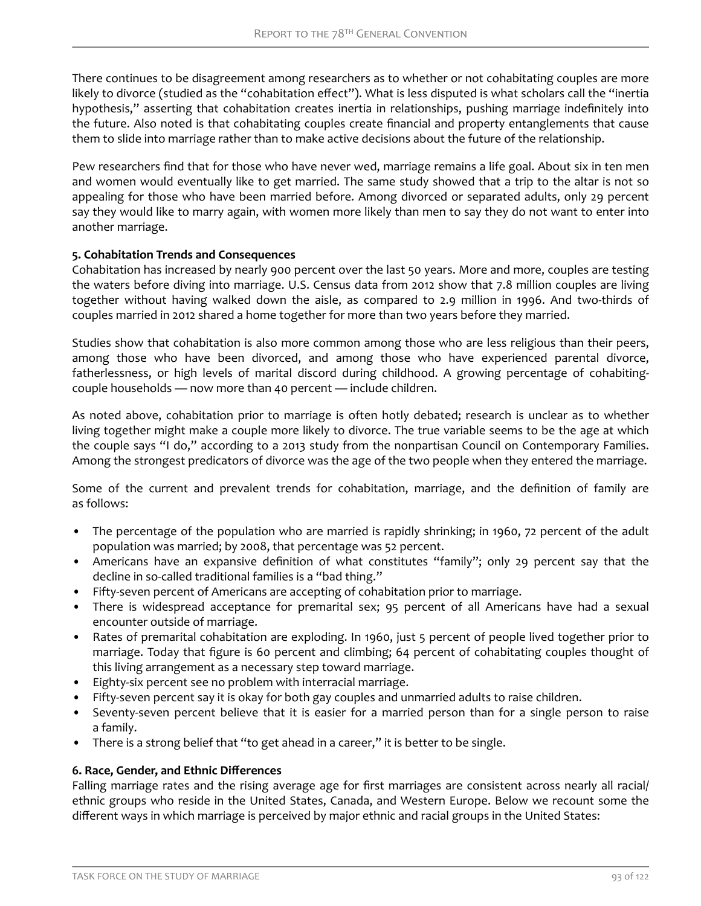There continues to be disagreement among researchers as to whether or not cohabitating couples are more likely to divorce (studied as the "cohabitation effect"). What is less disputed is what scholars call the "inertia hypothesis," asserting that cohabitation creates inertia in relationships, pushing marriage indefinitely into the future. Also noted is that cohabitating couples create financial and property entanglements that cause them to slide into marriage rather than to make active decisions about the future of the relationship.

Pew researchers find that for those who have never wed, marriage remains a life goal. About six in ten men and women would eventually like to get married. The same study showed that a trip to the altar is not so appealing for those who have been married before. Among divorced or separated adults, only 29 percent say they would like to marry again, with women more likely than men to say they do not want to enter into another marriage.

### **5. Cohabitation Trends and Consequences**

Cohabitation has increased by nearly 900 percent over the last 50 years. More and more, couples are testing the waters before diving into marriage. U.S. Census data from 2012 show that 7.8 million couples are living together without having walked down the aisle, as compared to 2.9 million in 1996. And two-thirds of couples married in 2012 shared a home together for more than two years before they married.

Studies show that cohabitation is also more common among those who are less religious than their peers, among those who have been divorced, and among those who have experienced parental divorce, fatherlessness, or high levels of marital discord during childhood. A growing percentage of cohabitingcouple households — now more than 40 percent — include children.

As noted above, cohabitation prior to marriage is often hotly debated; research is unclear as to whether living together might make a couple more likely to divorce. The true variable seems to be the age at which the couple says "I do," according to a 2013 study from the nonpartisan Council on Contemporary Families. Among the strongest predicators of divorce was the age of the two people when they entered the marriage.

Some of the current and prevalent trends for cohabitation, marriage, and the definition of family are as follows:

- The percentage of the population who are married is rapidly shrinking; in 1960, 72 percent of the adult population was married; by 2008, that percentage was 52 percent.
- Americans have an expansive definition of what constitutes "family"; only 29 percent say that the decline in so-called traditional families is a "bad thing."
- Fifty-seven percent of Americans are accepting of cohabitation prior to marriage.
- There is widespread acceptance for premarital sex; 95 percent of all Americans have had a sexual encounter outside of marriage.
- Rates of premarital cohabitation are exploding. In 1960, just 5 percent of people lived together prior to marriage. Today that figure is 60 percent and climbing; 64 percent of cohabitating couples thought of this living arrangement as a necessary step toward marriage.
- Eighty-six percent see no problem with interracial marriage.
- Fifty-seven percent say it is okay for both gay couples and unmarried adults to raise children.
- Seventy-seven percent believe that it is easier for a married person than for a single person to raise a family.
- There is a strong belief that "to get ahead in a career," it is better to be single.

### **6. Race, Gender, and Ethnic Differences**

Falling marriage rates and the rising average age for first marriages are consistent across nearly all racial/ ethnic groups who reside in the United States, Canada, and Western Europe. Below we recount some the different ways in which marriage is perceived by major ethnic and racial groups in the United States: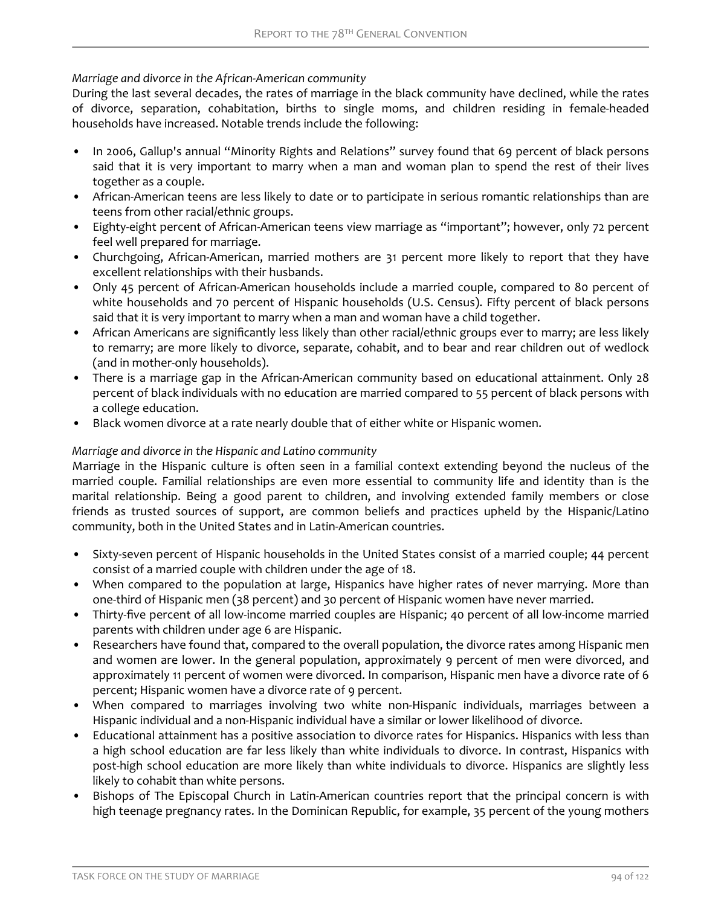# *Marriage and divorce in the African-American community*

During the last several decades, the rates of marriage in the black community have declined, while the rates of divorce, separation, cohabitation, births to single moms, and children residing in female-headed households have increased. Notable trends include the following:

- In 2006, Gallup's annual "Minority Rights and Relations" survey found that 69 percent of black persons said that it is very important to marry when a man and woman plan to spend the rest of their lives together as a couple.
- African-American teens are less likely to date or to participate in serious romantic relationships than are teens from other racial/ethnic groups.
- Eighty-eight percent of African-American teens view marriage as "important"; however, only 72 percent feel well prepared for marriage.
- Churchgoing, African-American, married mothers are 31 percent more likely to report that they have excellent relationships with their husbands.
- Only 45 percent of African-American households include a married couple, compared to 80 percent of white households and 70 percent of Hispanic households (U.S. Census). Fifty percent of black persons said that it is very important to marry when a man and woman have a child together.
- African Americans are significantly less likely than other racial/ethnic groups ever to marry; are less likely to remarry; are more likely to divorce, separate, cohabit, and to bear and rear children out of wedlock (and in mother-only households).
- There is a marriage gap in the African-American community based on educational attainment. Only 28 percent of black individuals with no education are married compared to 55 percent of black persons with a college education.
- Black women divorce at a rate nearly double that of either white or Hispanic women.

# *Marriage and divorce in the Hispanic and Latino community*

Marriage in the Hispanic culture is often seen in a familial context extending beyond the nucleus of the married couple. Familial relationships are even more essential to community life and identity than is the marital relationship. Being a good parent to children, and involving extended family members or close friends as trusted sources of support, are common beliefs and practices upheld by the Hispanic/Latino community, both in the United States and in Latin-American countries.

- Sixty-seven percent of Hispanic households in the United States consist of a married couple; 44 percent consist of a married couple with children under the age of 18.
- When compared to the population at large, Hispanics have higher rates of never marrying. More than one-third of Hispanic men (38 percent) and 30 percent of Hispanic women have never married.
- Thirty-five percent of all low-income married couples are Hispanic; 40 percent of all low-income married parents with children under age 6 are Hispanic.
- Researchers have found that, compared to the overall population, the divorce rates among Hispanic men and women are lower. In the general population, approximately 9 percent of men were divorced, and approximately 11 percent of women were divorced. In comparison, Hispanic men have a divorce rate of 6 percent; Hispanic women have a divorce rate of 9 percent.
- When compared to marriages involving two white non-Hispanic individuals, marriages between a Hispanic individual and a non-Hispanic individual have a similar or lower likelihood of divorce.
- Educational attainment has a positive association to divorce rates for Hispanics. Hispanics with less than a high school education are far less likely than white individuals to divorce. In contrast, Hispanics with post-high school education are more likely than white individuals to divorce. Hispanics are slightly less likely to cohabit than white persons.
- Bishops of The Episcopal Church in Latin-American countries report that the principal concern is with high teenage pregnancy rates. In the Dominican Republic, for example, 35 percent of the young mothers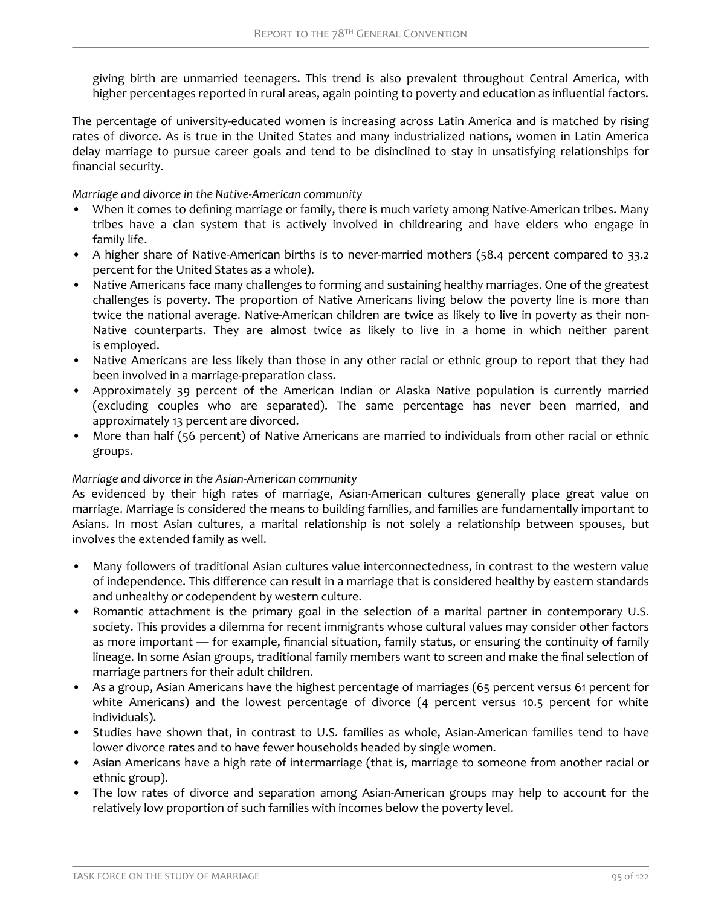giving birth are unmarried teenagers. This trend is also prevalent throughout Central America, with higher percentages reported in rural areas, again pointing to poverty and education as influential factors.

The percentage of university-educated women is increasing across Latin America and is matched by rising rates of divorce. As is true in the United States and many industrialized nations, women in Latin America delay marriage to pursue career goals and tend to be disinclined to stay in unsatisfying relationships for financial security.

*Marriage and divorce in the Native-American community*

- When it comes to defining marriage or family, there is much variety among Native-American tribes. Many tribes have a clan system that is actively involved in childrearing and have elders who engage in family life.
- A higher share of Native-American births is to never-married mothers (58.4 percent compared to 33.2 percent for the United States as a whole).
- Native Americans face many challenges to forming and sustaining healthy marriages. One of the greatest challenges is poverty. The proportion of Native Americans living below the poverty line is more than twice the national average. Native-American children are twice as likely to live in poverty as their non-Native counterparts. They are almost twice as likely to live in a home in which neither parent is employed.
- Native Americans are less likely than those in any other racial or ethnic group to report that they had been involved in a marriage-preparation class.
- Approximately 39 percent of the American Indian or Alaska Native population is currently married (excluding couples who are separated). The same percentage has never been married, and approximately 13 percent are divorced.
- More than half (56 percent) of Native Americans are married to individuals from other racial or ethnic groups.

# *Marriage and divorce in the Asian-American community*

As evidenced by their high rates of marriage, Asian-American cultures generally place great value on marriage. Marriage is considered the means to building families, and families are fundamentally important to Asians. In most Asian cultures, a marital relationship is not solely a relationship between spouses, but involves the extended family as well.

- Many followers of traditional Asian cultures value interconnectedness, in contrast to the western value of independence. This difference can result in a marriage that is considered healthy by eastern standards and unhealthy or codependent by western culture.
- Romantic attachment is the primary goal in the selection of a marital partner in contemporary U.S. society. This provides a dilemma for recent immigrants whose cultural values may consider other factors as more important — for example, financial situation, family status, or ensuring the continuity of family lineage. In some Asian groups, traditional family members want to screen and make the final selection of marriage partners for their adult children.
- As a group, Asian Americans have the highest percentage of marriages (65 percent versus 61 percent for white Americans) and the lowest percentage of divorce (4 percent versus 10.5 percent for white individuals).
- Studies have shown that, in contrast to U.S. families as whole, Asian-American families tend to have lower divorce rates and to have fewer households headed by single women.
- Asian Americans have a high rate of intermarriage (that is, marriage to someone from another racial or ethnic group).
- The low rates of divorce and separation among Asian-American groups may help to account for the relatively low proportion of such families with incomes below the poverty level.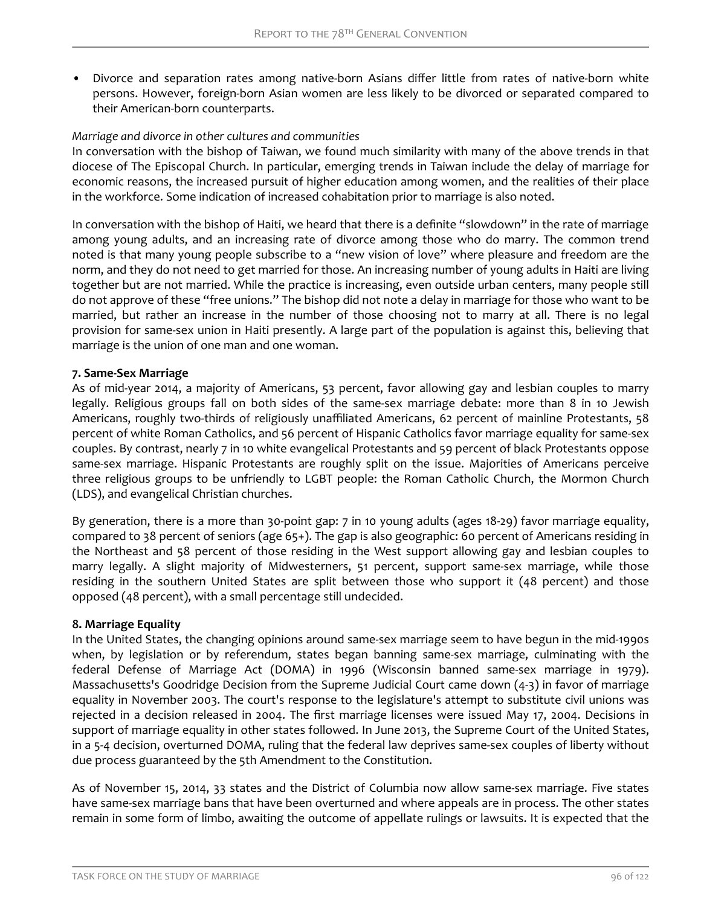• Divorce and separation rates among native-born Asians differ little from rates of native-born white persons. However, foreign-born Asian women are less likely to be divorced or separated compared to their American-born counterparts.

### *Marriage and divorce in other cultures and communities*

In conversation with the bishop of Taiwan, we found much similarity with many of the above trends in that diocese of The Episcopal Church. In particular, emerging trends in Taiwan include the delay of marriage for economic reasons, the increased pursuit of higher education among women, and the realities of their place in the workforce. Some indication of increased cohabitation prior to marriage is also noted.

In conversation with the bishop of Haiti, we heard that there is a definite "slowdown" in the rate of marriage among young adults, and an increasing rate of divorce among those who do marry. The common trend noted is that many young people subscribe to a "new vision of love" where pleasure and freedom are the norm, and they do not need to get married for those. An increasing number of young adults in Haiti are living together but are not married. While the practice is increasing, even outside urban centers, many people still do not approve of these "free unions." The bishop did not note a delay in marriage for those who want to be married, but rather an increase in the number of those choosing not to marry at all. There is no legal provision for same-sex union in Haiti presently. A large part of the population is against this, believing that marriage is the union of one man and one woman.

### **7. Same-Sex Marriage**

As of mid-year 2014, a majority of Americans, 53 percent, favor allowing gay and lesbian couples to marry legally. Religious groups fall on both sides of the same-sex marriage debate: more than 8 in 10 Jewish Americans, roughly two-thirds of religiously unaffiliated Americans, 62 percent of mainline Protestants, 58 percent of white Roman Catholics, and 56 percent of Hispanic Catholics favor marriage equality for same-sex couples. By contrast, nearly 7 in 10 white evangelical Protestants and 59 percent of black Protestants oppose same-sex marriage. Hispanic Protestants are roughly split on the issue. Majorities of Americans perceive three religious groups to be unfriendly to LGBT people: the Roman Catholic Church, the Mormon Church (LDS), and evangelical Christian churches.

By generation, there is a more than 30-point gap: 7 in 10 young adults (ages 18-29) favor marriage equality, compared to 38 percent of seniors (age 65+). The gap is also geographic: 60 percent of Americans residing in the Northeast and 58 percent of those residing in the West support allowing gay and lesbian couples to marry legally. A slight majority of Midwesterners, 51 percent, support same-sex marriage, while those residing in the southern United States are split between those who support it (48 percent) and those opposed (48 percent), with a small percentage still undecided.

#### **8. Marriage Equality**

In the United States, the changing opinions around same-sex marriage seem to have begun in the mid-1990s when, by legislation or by referendum, states began banning same-sex marriage, culminating with the federal Defense of Marriage Act (DOMA) in 1996 (Wisconsin banned same-sex marriage in 1979). Massachusetts's Goodridge Decision from the Supreme Judicial Court came down (4-3) in favor of marriage equality in November 2003. The court's response to the legislature's attempt to substitute civil unions was rejected in a decision released in 2004. The first marriage licenses were issued May 17, 2004. Decisions in support of marriage equality in other states followed. In June 2013, the Supreme Court of the United States, in a 5-4 decision, overturned DOMA, ruling that the federal law deprives same-sex couples of liberty without due process guaranteed by the 5th Amendment to the Constitution.

As of November 15, 2014, 33 states and the District of Columbia now allow same-sex marriage. Five states have same-sex marriage bans that have been overturned and where appeals are in process. The other states remain in some form of limbo, awaiting the outcome of appellate rulings or lawsuits. It is expected that the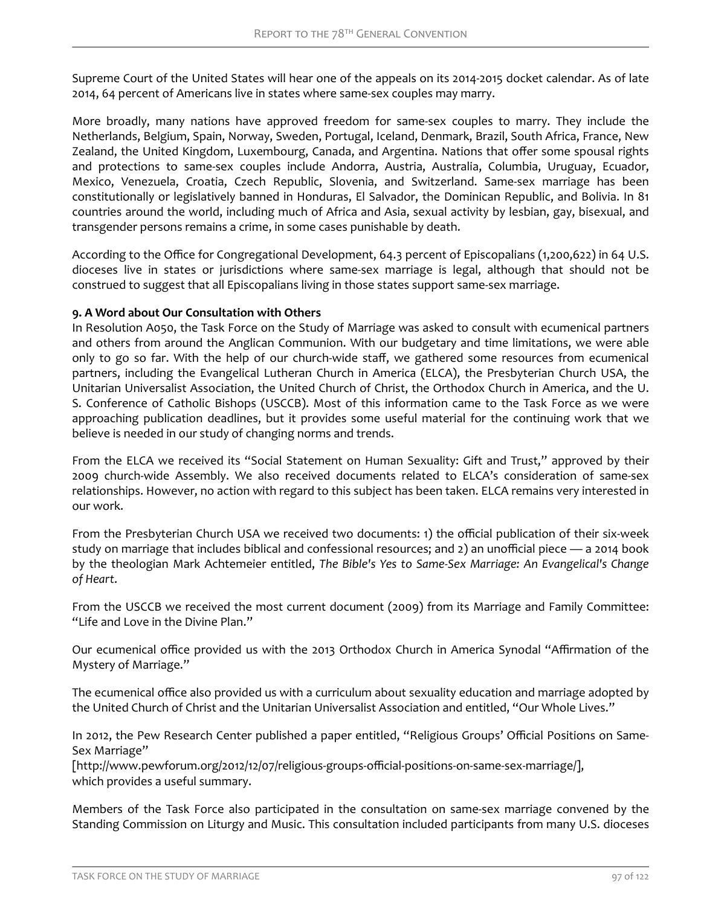Supreme Court of the United States will hear one of the appeals on its 2014-2015 docket calendar. As of late 2014, 64 percent of Americans live in states where same-sex couples may marry.

More broadly, many nations have approved freedom for same-sex couples to marry. They include the Netherlands, Belgium, Spain, Norway, Sweden, Portugal, Iceland, Denmark, Brazil, South Africa, France, New Zealand, the United Kingdom, Luxembourg, Canada, and Argentina. Nations that offer some spousal rights and protections to same-sex couples include Andorra, Austria, Australia, Columbia, Uruguay, Ecuador, Mexico, Venezuela, Croatia, Czech Republic, Slovenia, and Switzerland. Same-sex marriage has been constitutionally or legislatively banned in Honduras, El Salvador, the Dominican Republic, and Bolivia. In 81 countries around the world, including much of Africa and Asia, sexual activity by lesbian, gay, bisexual, and transgender persons remains a crime, in some cases punishable by death.

According to the Office for Congregational Development, 64.3 percent of Episcopalians (1,200,622) in 64 U.S. dioceses live in states or jurisdictions where same-sex marriage is legal, although that should not be construed to suggest that all Episcopalians living in those states support same-sex marriage.

# **9. A Word about Our Consultation with Others**

In Resolution A050, the Task Force on the Study of Marriage was asked to consult with ecumenical partners and others from around the Anglican Communion. With our budgetary and time limitations, we were able only to go so far. With the help of our church-wide staff, we gathered some resources from ecumenical partners, including the Evangelical Lutheran Church in America (ELCA), the Presbyterian Church USA, the Unitarian Universalist Association, the United Church of Christ, the Orthodox Church in America, and the U. S. Conference of Catholic Bishops (USCCB). Most of this information came to the Task Force as we were approaching publication deadlines, but it provides some useful material for the continuing work that we believe is needed in our study of changing norms and trends.

From the ELCA we received its "Social Statement on Human Sexuality: Gift and Trust," approved by their 2009 church-wide Assembly. We also received documents related to ELCA's consideration of same-sex relationships. However, no action with regard to this subject has been taken. ELCA remains very interested in our work.

From the Presbyterian Church USA we received two documents: 1) the official publication of their six-week study on marriage that includes biblical and confessional resources; and 2) an unofficial piece — a 2014 book by the theologian Mark Achtemeier entitled, *The Bible's Yes to Same-Sex Marriage: An Evangelical's Change of Heart*.

From the USCCB we received the most current document (2009) from its Marriage and Family Committee: "Life and Love in the Divine Plan."

Our ecumenical office provided us with the 2013 Orthodox Church in America Synodal "ffirmation of the Mystery of Marriage."

The ecumenical office also provided us with a curriculum about sexuality education and marriage adopted by the United Church of Christ and the Unitarian Universalist Association and entitled, "Our Whole Lives."

In 2012, the Pew Research Center published a paper entitled, "Religious Groups' Official Positions on Same-Sex Marriage"

[http://www.pewforum.org/2012/12/07/religious-groups-official-positions-on-same-sex-marriage/], which provides a useful summary.

Members of the Task Force also participated in the consultation on same-sex marriage convened by the Standing Commission on Liturgy and Music. This consultation included participants from many U.S. dioceses